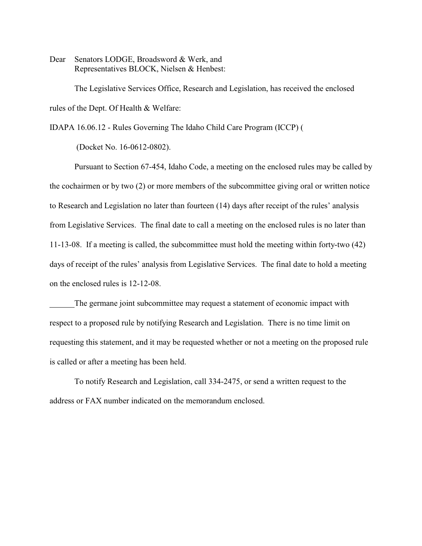Dear Senators LODGE, Broadsword & Werk, and Representatives BLOCK, Nielsen & Henbest:

The Legislative Services Office, Research and Legislation, has received the enclosed rules of the Dept. Of Health & Welfare:

IDAPA 16.06.12 - Rules Governing The Idaho Child Care Program (ICCP) (

(Docket No. 16-0612-0802).

Pursuant to Section 67-454, Idaho Code, a meeting on the enclosed rules may be called by the cochairmen or by two (2) or more members of the subcommittee giving oral or written notice to Research and Legislation no later than fourteen (14) days after receipt of the rules' analysis from Legislative Services. The final date to call a meeting on the enclosed rules is no later than 11-13-08. If a meeting is called, the subcommittee must hold the meeting within forty-two (42) days of receipt of the rules' analysis from Legislative Services. The final date to hold a meeting on the enclosed rules is 12-12-08.

The germane joint subcommittee may request a statement of economic impact with respect to a proposed rule by notifying Research and Legislation. There is no time limit on requesting this statement, and it may be requested whether or not a meeting on the proposed rule is called or after a meeting has been held.

To notify Research and Legislation, call 334-2475, or send a written request to the address or FAX number indicated on the memorandum enclosed.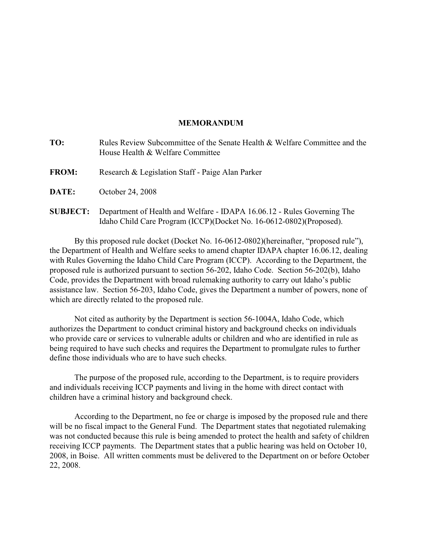# **MEMORANDUM**

| TO:             | Rules Review Subcommittee of the Senate Health & Welfare Committee and the<br>House Health & Welfare Committee                                 |  |  |  |  |  |
|-----------------|------------------------------------------------------------------------------------------------------------------------------------------------|--|--|--|--|--|
| <b>FROM:</b>    | Research & Legislation Staff - Paige Alan Parker                                                                                               |  |  |  |  |  |
| <b>DATE:</b>    | October 24, 2008                                                                                                                               |  |  |  |  |  |
| <b>SUBJECT:</b> | Department of Health and Welfare - IDAPA 16.06.12 - Rules Governing The<br>Idaho Child Care Program (ICCP)(Docket No. 16-0612-0802)(Proposed). |  |  |  |  |  |

By this proposed rule docket (Docket No. 16-0612-0802)(hereinafter, "proposed rule"), the Department of Health and Welfare seeks to amend chapter IDAPA chapter 16.06.12, dealing with Rules Governing the Idaho Child Care Program (ICCP). According to the Department, the proposed rule is authorized pursuant to section 56-202, Idaho Code. Section 56-202(b), Idaho Code, provides the Department with broad rulemaking authority to carry out Idaho's public assistance law. Section 56-203, Idaho Code, gives the Department a number of powers, none of which are directly related to the proposed rule.

Not cited as authority by the Department is section 56-1004A, Idaho Code, which authorizes the Department to conduct criminal history and background checks on individuals who provide care or services to vulnerable adults or children and who are identified in rule as being required to have such checks and requires the Department to promulgate rules to further define those individuals who are to have such checks.

The purpose of the proposed rule, according to the Department, is to require providers and individuals receiving ICCP payments and living in the home with direct contact with children have a criminal history and background check.

According to the Department, no fee or charge is imposed by the proposed rule and there will be no fiscal impact to the General Fund. The Department states that negotiated rulemaking was not conducted because this rule is being amended to protect the health and safety of children receiving ICCP payments. The Department states that a public hearing was held on October 10, 2008, in Boise. All written comments must be delivered to the Department on or before October 22, 2008.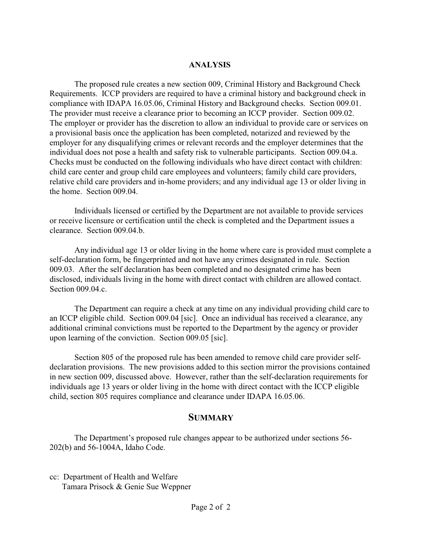# **ANALYSIS**

The proposed rule creates a new section 009, Criminal History and Background Check Requirements. ICCP providers are required to have a criminal history and background check in compliance with IDAPA 16.05.06, Criminal History and Background checks. Section 009.01. The provider must receive a clearance prior to becoming an ICCP provider. Section 009.02. The employer or provider has the discretion to allow an individual to provide care or services on a provisional basis once the application has been completed, notarized and reviewed by the employer for any disqualifying crimes or relevant records and the employer determines that the individual does not pose a health and safety risk to vulnerable participants. Section 009.04.a. Checks must be conducted on the following individuals who have direct contact with children: child care center and group child care employees and volunteers; family child care providers, relative child care providers and in-home providers; and any individual age 13 or older living in the home. Section 009.04.

Individuals licensed or certified by the Department are not available to provide services or receive licensure or certification until the check is completed and the Department issues a clearance. Section 009.04.b.

Any individual age 13 or older living in the home where care is provided must complete a self-declaration form, be fingerprinted and not have any crimes designated in rule. Section 009.03. After the self declaration has been completed and no designated crime has been disclosed, individuals living in the home with direct contact with children are allowed contact. Section 009.04.c.

The Department can require a check at any time on any individual providing child care to an ICCP eligible child. Section 009.04 [sic]. Once an individual has received a clearance, any additional criminal convictions must be reported to the Department by the agency or provider upon learning of the conviction. Section 009.05 [sic].

Section 805 of the proposed rule has been amended to remove child care provider selfdeclaration provisions. The new provisions added to this section mirror the provisions contained in new section 009, discussed above. However, rather than the self-declaration requirements for individuals age 13 years or older living in the home with direct contact with the ICCP eligible child, section 805 requires compliance and clearance under IDAPA 16.05.06.

# **SUMMARY**

The Department's proposed rule changes appear to be authorized under sections 56- 202(b) and 56-1004A, Idaho Code.

cc: Department of Health and Welfare Tamara Prisock & Genie Sue Weppner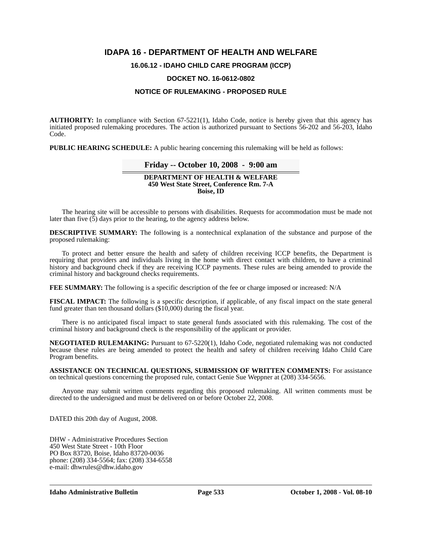# **IDAPA 16 - DEPARTMENT OF HEALTH AND WELFARE**

# **16.06.12 - IDAHO CHILD CARE PROGRAM (ICCP)**

## **DOCKET NO. 16-0612-0802**

# **NOTICE OF RULEMAKING - PROPOSED RULE**

**AUTHORITY:** In compliance with Section 67-5221(1), Idaho Code, notice is hereby given that this agency has initiated proposed rulemaking procedures. The action is authorized pursuant to Sections 56-202 and 56-203, Idaho Code.

**PUBLIC HEARING SCHEDULE:** A public hearing concerning this rulemaking will be held as follows:

# **Friday -- October 10, 2008 - 9:00 am**

#### **DEPARTMENT OF HEALTH & WELFARE 450 West State Street, Conference Rm. 7-A Boise, ID**

The hearing site will be accessible to persons with disabilities. Requests for accommodation must be made not later than five (5) days prior to the hearing, to the agency address below.

**DESCRIPTIVE SUMMARY:** The following is a nontechnical explanation of the substance and purpose of the proposed rulemaking:

To protect and better ensure the health and safety of children receiving ICCP benefits, the Department is requiring that providers and individuals living in the home with direct contact with children, to have a criminal history and background check if they are receiving ICCP payments. These rules are being amended to provide the criminal history and background checks requirements.

**FEE SUMMARY:** The following is a specific description of the fee or charge imposed or increased: N/A

**FISCAL IMPACT:** The following is a specific description, if applicable, of any fiscal impact on the state general fund greater than ten thousand dollars (\$10,000) during the fiscal year.

There is no anticipated fiscal impact to state general funds associated with this rulemaking. The cost of the criminal history and background check is the responsibility of the applicant or provider.

**NEGOTIATED RULEMAKING:** Pursuant to 67-5220(1), Idaho Code, negotiated rulemaking was not conducted because these rules are being amended to protect the health and safety of children receiving Idaho Child Care Program benefits.

**ASSISTANCE ON TECHNICAL QUESTIONS, SUBMISSION OF WRITTEN COMMENTS:** For assistance on technical questions concerning the proposed rule, contact Genie Sue Weppner at (208) 334-5656.

Anyone may submit written comments regarding this proposed rulemaking. All written comments must be directed to the undersigned and must be delivered on or before October 22, 2008.

DATED this 20th day of August, 2008.

DHW - Administrative Procedures Section 450 West State Street - 10th Floor PO Box 83720, Boise, Idaho 83720-0036 phone: (208) 334-5564; fax: (208) 334-6558 e-mail: dhwrules@dhw.idaho.gov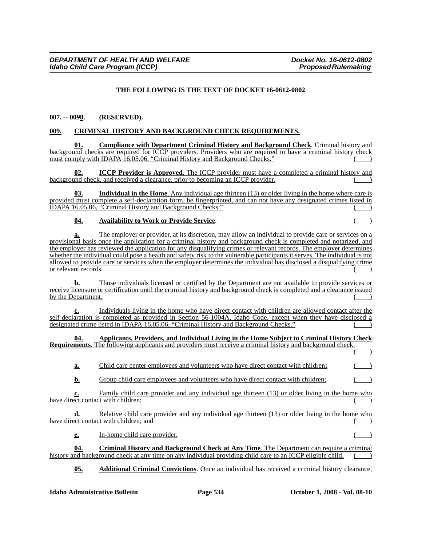# **THE FOLLOWING IS THE TEXT OF DOCKET 16-0612-0802**

### **007. -- 00***9***8. (RESERVED).**

### **009. CRIMINAL HISTORY AND BACKGROUND CHECK REQUIREMENTS.**

**01. Compliance with Department Criminal History and Background Check**. Criminal history and background checks are required for ICCP providers. Providers who are required to have a criminal history check must comply with IDAPA 16.05.06, "Criminal History and Background Checks."

**ICCP Provider is Approved.** The ICCP provider must have a completed a criminal history and background check, and received a clearance, prior to becoming an ICCP provider.

**03. Individual in the Home**. Any individual age thirteen (13) or older living in the home where care is provided must complete a self-declaration form, be fingerprinted, and can not have any designated crimes listed in IDAPA 16.05.06, "Criminal History and Background Checks." ( )

#### **04. Availability to Work or Provide Service.**

**a.** The employer or provider, at its discretion, may allow an individual to provide care or services on a provisional basis once the application for a criminal history and background check is completed and notarized, and the employer has reviewed the application for any disqualifying crimes or relevant records. The employer determines whether the individual could pose a health and safety risk to the vulnerable participants it serves. The individual is not allowed to provide care or services when the employer determines the individual has disclosed a disqualifying crime or relevant records.

**b.** Those individuals licensed or certified by the Department are not available to provide services or receive licensure or certification until the criminal history and background check is completed and a clearance issued by the Department.

**c.** Individuals living in the home who have direct contact with children are allowed contact after the self-declaration is completed as provided in Section 56-1004A, Idaho Code, except when they have disclosed a designated crime listed in IDAPA 16.05.06, "Criminal History and Background Checks."

**04. Applicants, Providers, and Individual Living in the Home Subject to Criminal History Check Requirements**. The following applicants and providers must receive a criminal history and background check:  $($   $)$ 

|  |  | Child care center employees and volunteers who have direct contact with children; |  |
|--|--|-----------------------------------------------------------------------------------|--|
|  |  |                                                                                   |  |

**b.** Group child care employees and volunteers who have direct contact with children;

Family child care provider and any individual age thirteen (13) or older living in the home who have direct contact with children;

**d.** Relative child care provider and any individual age thirteen (13) or older living in the home who have direct contact with children; and

**e.** In-home child care provider.

**04. Criminal History and Background Check at Any Time**. The Department can require a criminal history and background check at any time on any individual providing child care to an ICCP eligible child.

**05. Additional Criminal Convictions**. Once an individual has received a criminal history clearance,